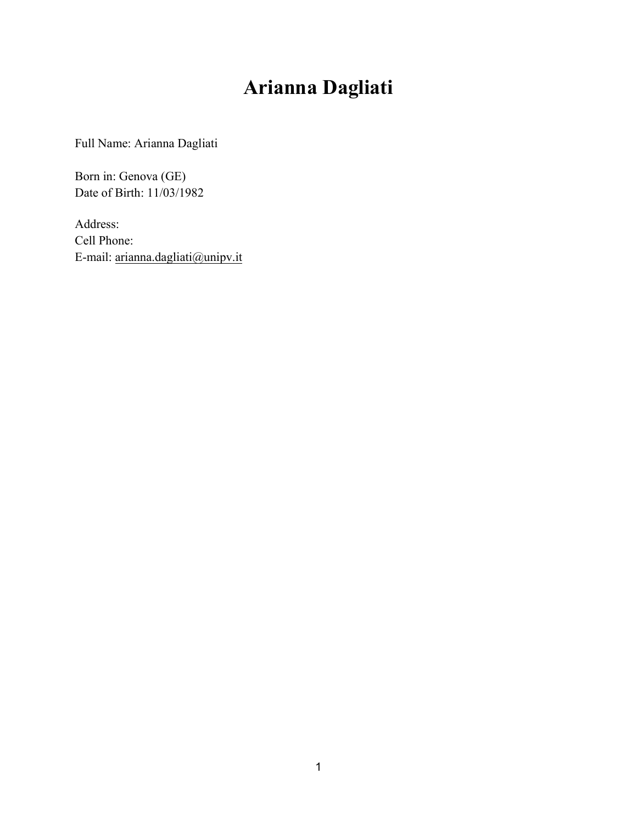# **Arianna Dagliati**

Full Name: Arianna Dagliati

Born in: Genova (GE) Date of Birth: 11/03/1982

Address: Cell Phone: E-mail: arianna.dagliati@unipv.it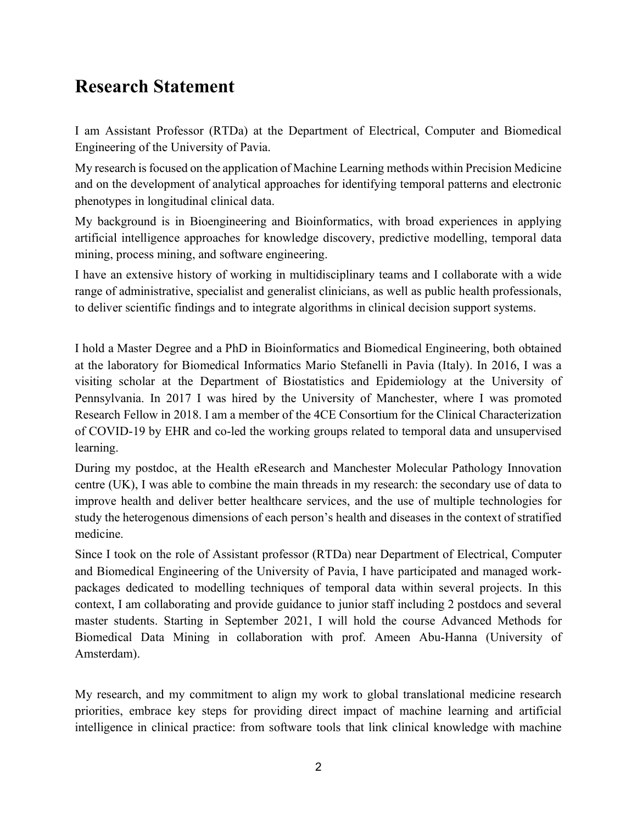### **Research Statement**

I am Assistant Professor (RTDa) at the Department of Electrical, Computer and Biomedical Engineering of the University of Pavia.

My research is focused on the application of Machine Learning methods within Precision Medicine and on the development of analytical approaches for identifying temporal patterns and electronic phenotypes in longitudinal clinical data.

My background is in Bioengineering and Bioinformatics, with broad experiences in applying artificial intelligence approaches for knowledge discovery, predictive modelling, temporal data mining, process mining, and software engineering.

I have an extensive history of working in multidisciplinary teams and I collaborate with a wide range of administrative, specialist and generalist clinicians, as well as public health professionals, to deliver scientific findings and to integrate algorithms in clinical decision support systems.

I hold a Master Degree and a PhD in Bioinformatics and Biomedical Engineering, both obtained at the laboratory for Biomedical Informatics Mario Stefanelli in Pavia (Italy). In 2016, I was a visiting scholar at the Department of Biostatistics and Epidemiology at the University of Pennsylvania. In 2017 I was hired by the University of Manchester, where I was promoted Research Fellow in 2018. I am a member of the 4CE Consortium for the Clinical Characterization of COVID-19 by EHR and co-led the working groups related to temporal data and unsupervised learning.

During my postdoc, at the Health eResearch and Manchester Molecular Pathology Innovation centre (UK), I was able to combine the main threads in my research: the secondary use of data to improve health and deliver better healthcare services, and the use of multiple technologies for study the heterogenous dimensions of each person's health and diseases in the context of stratified medicine.

Since I took on the role of Assistant professor (RTDa) near Department of Electrical, Computer and Biomedical Engineering of the University of Pavia, I have participated and managed workpackages dedicated to modelling techniques of temporal data within several projects. In this context, I am collaborating and provide guidance to junior staff including 2 postdocs and several master students. Starting in September 2021, I will hold the course Advanced Methods for Biomedical Data Mining in collaboration with prof. Ameen Abu-Hanna (University of Amsterdam).

My research, and my commitment to align my work to global translational medicine research priorities, embrace key steps for providing direct impact of machine learning and artificial intelligence in clinical practice: from software tools that link clinical knowledge with machine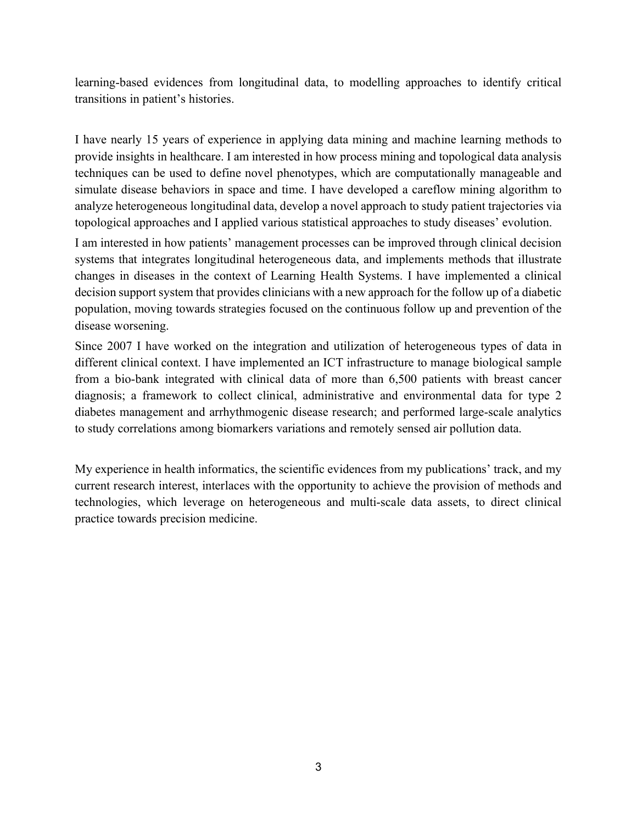learning-based evidences from longitudinal data, to modelling approaches to identify critical transitions in patient's histories.

I have nearly 15 years of experience in applying data mining and machine learning methods to provide insights in healthcare. I am interested in how process mining and topological data analysis techniques can be used to define novel phenotypes, which are computationally manageable and simulate disease behaviors in space and time. I have developed a careflow mining algorithm to analyze heterogeneous longitudinal data, develop a novel approach to study patient trajectories via topological approaches and I applied various statistical approaches to study diseases' evolution.

I am interested in how patients' management processes can be improved through clinical decision systems that integrates longitudinal heterogeneous data, and implements methods that illustrate changes in diseases in the context of Learning Health Systems. I have implemented a clinical decision support system that provides clinicians with a new approach for the follow up of a diabetic population, moving towards strategies focused on the continuous follow up and prevention of the disease worsening.

Since 2007 I have worked on the integration and utilization of heterogeneous types of data in different clinical context. I have implemented an ICT infrastructure to manage biological sample from a bio-bank integrated with clinical data of more than 6,500 patients with breast cancer diagnosis; a framework to collect clinical, administrative and environmental data for type 2 diabetes management and arrhythmogenic disease research; and performed large-scale analytics to study correlations among biomarkers variations and remotely sensed air pollution data.

My experience in health informatics, the scientific evidences from my publications' track, and my current research interest, interlaces with the opportunity to achieve the provision of methods and technologies, which leverage on heterogeneous and multi-scale data assets, to direct clinical practice towards precision medicine.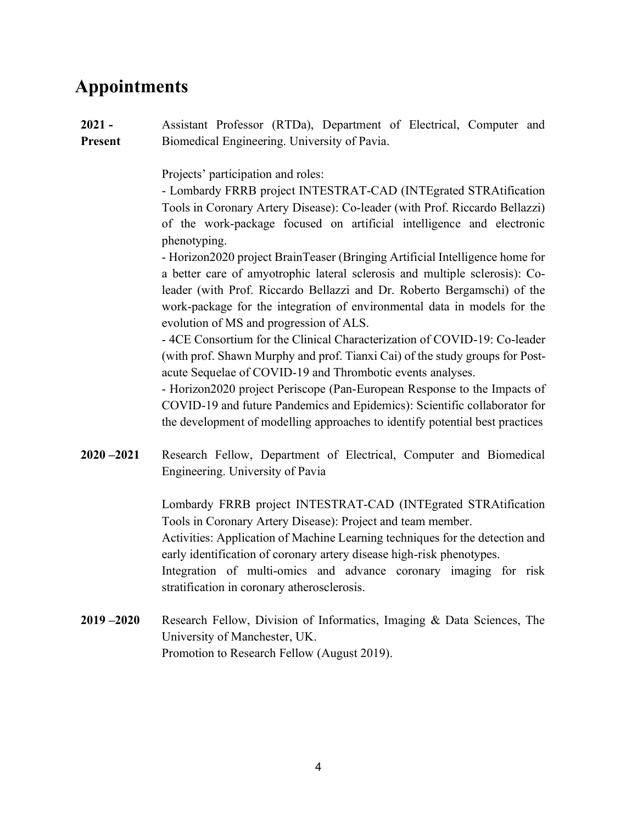### **Appointments**

**2021 - Present** Assistant Professor (RTDa), Department of Electrical, Computer and Biomedical Engineering. University of Pavia.

Projects' participation and roles:

- Lombardy FRRB project INTESTRAT-CAD (INTEgrated STRAtification Tools in Coronary Artery Disease): Co-leader (with Prof. Riccardo Bellazzi) of the work-package focused on artificial intelligence and electronic phenotyping.

- Horizon2020 project BrainTeaser (Bringing Artificial Intelligence home for a better care of amyotrophic lateral sclerosis and multiple sclerosis): Coleader (with Prof. Riccardo Bellazzi and Dr. Roberto Bergamschi) of the work-package for the integration of environmental data in models for the evolution of MS and progression of ALS.

- 4CE Consortium for the Clinical Characterization of COVID-19: Co-leader (with prof. Shawn Murphy and prof. Tianxi Cai) of the study groups for Postacute Sequelae of COVID-19 and Thrombotic events analyses.

- Horizon2020 project Periscope (Pan-European Response to the Impacts of COVID-19 and future Pandemics and Epidemics): Scientific collaborator for the development of modelling approaches to identify potential best practices

**2020 –2021** Research Fellow, Department of Electrical, Computer and Biomedical Engineering. University of Pavia

> Lombardy FRRB project INTESTRAT-CAD (INTEgrated STRAtification Tools in Coronary Artery Disease): Project and team member. Activities: Application of Machine Learning techniques for the detection and early identification of coronary artery disease high-risk phenotypes.

> Integration of multi-omics and advance coronary imaging for risk stratification in coronary atherosclerosis.

**2019 –2020** Research Fellow, Division of Informatics, Imaging & Data Sciences, The University of Manchester, UK. Promotion to Research Fellow (August 2019).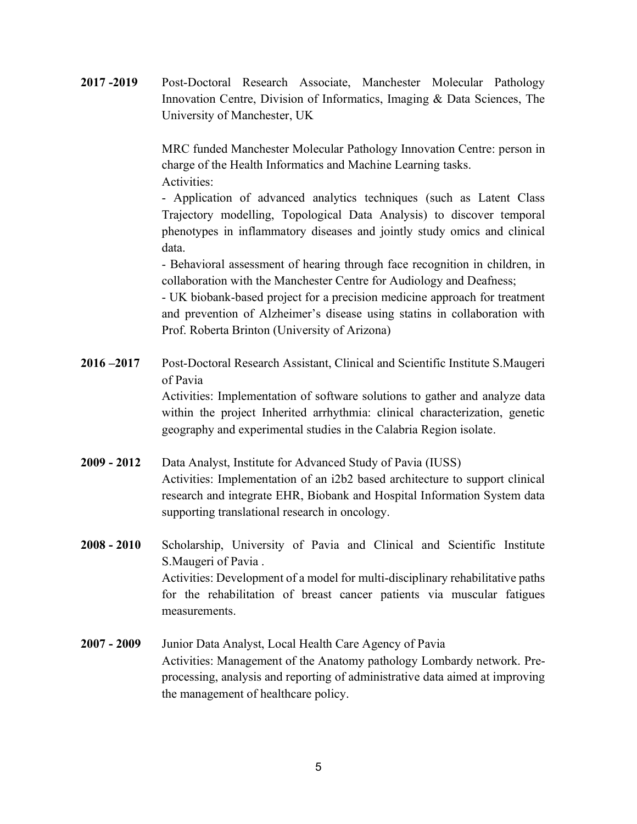**2017 -2019** Post-Doctoral Research Associate, Manchester Molecular Pathology Innovation Centre, Division of Informatics, Imaging & Data Sciences, The University of Manchester, UK

> MRC funded Manchester Molecular Pathology Innovation Centre: person in charge of the Health Informatics and Machine Learning tasks. Activities:

> - Application of advanced analytics techniques (such as Latent Class Trajectory modelling, Topological Data Analysis) to discover temporal phenotypes in inflammatory diseases and jointly study omics and clinical data.

> - Behavioral assessment of hearing through face recognition in children, in collaboration with the Manchester Centre for Audiology and Deafness;

> - UK biobank-based project for a precision medicine approach for treatment and prevention of Alzheimer's disease using statins in collaboration with Prof. Roberta Brinton (University of Arizona)

- **2016 –2017** Post-Doctoral Research Assistant, Clinical and Scientific Institute S.Maugeri of Pavia Activities: Implementation of software solutions to gather and analyze data within the project Inherited arrhythmia: clinical characterization, genetic geography and experimental studies in the Calabria Region isolate.
- **2009 - 2012** Data Analyst, Institute for Advanced Study of Pavia (IUSS) Activities: Implementation of an i2b2 based architecture to support clinical research and integrate EHR, Biobank and Hospital Information System data supporting translational research in oncology.
- **2008 - 2010** Scholarship, University of Pavia and Clinical and Scientific Institute S.Maugeri of Pavia . Activities: Development of a model for multi-disciplinary rehabilitative paths for the rehabilitation of breast cancer patients via muscular fatigues measurements.
- **2007 - 2009** Junior Data Analyst, Local Health Care Agency of Pavia Activities: Management of the Anatomy pathology Lombardy network. Preprocessing, analysis and reporting of administrative data aimed at improving the management of healthcare policy.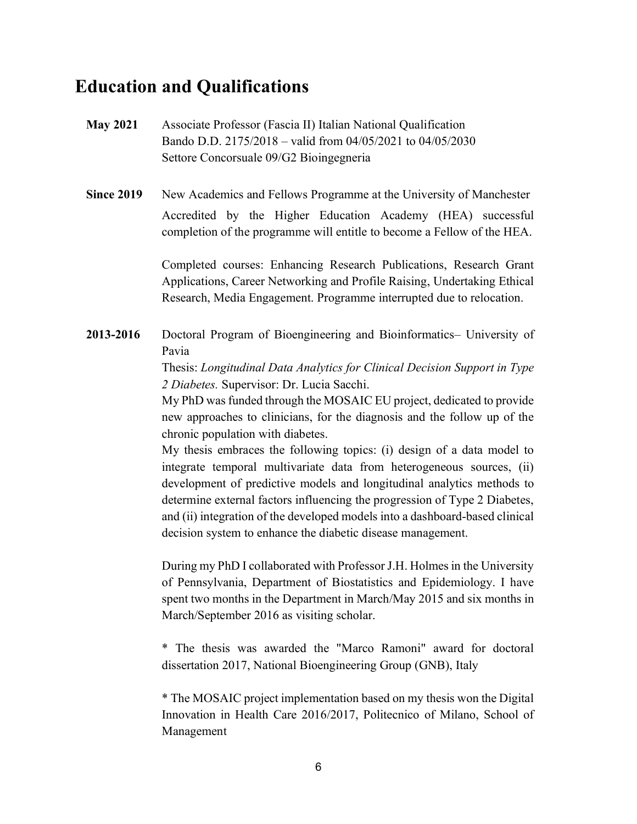### **Education and Qualifications**

- **May 2021** Associate Professor (Fascia II) Italian National Qualification Bando D.D. 2175/2018 – valid from 04/05/2021 to 04/05/2030 Settore Concorsuale 09/G2 Bioingegneria
- **Since 2019** New Academics and Fellows Programme at the University of Manchester Accredited by the Higher Education Academy (HEA) successful completion of the programme will entitle to become a Fellow of the HEA.

Completed courses: Enhancing Research Publications, Research Grant Applications, Career Networking and Profile Raising, Undertaking Ethical Research, Media Engagement. Programme interrupted due to relocation.

**2013-2016** Doctoral Program of Bioengineering and Bioinformatics– University of Pavia

> Thesis: *Longitudinal Data Analytics for Clinical Decision Support in Type 2 Diabetes.* Supervisor: Dr. Lucia Sacchi.

> My PhD was funded through the MOSAIC EU project, dedicated to provide new approaches to clinicians, for the diagnosis and the follow up of the chronic population with diabetes.

> My thesis embraces the following topics: (i) design of a data model to integrate temporal multivariate data from heterogeneous sources, (ii) development of predictive models and longitudinal analytics methods to determine external factors influencing the progression of Type 2 Diabetes, and (ii) integration of the developed models into a dashboard-based clinical decision system to enhance the diabetic disease management.

> During my PhD I collaborated with Professor J.H. Holmes in the University of Pennsylvania, Department of Biostatistics and Epidemiology. I have spent two months in the Department in March/May 2015 and six months in March/September 2016 as visiting scholar.

> \* The thesis was awarded the "Marco Ramoni" award for doctoral dissertation 2017, National Bioengineering Group (GNB), Italy

> \* The MOSAIC project implementation based on my thesis won the Digital Innovation in Health Care 2016/2017, Politecnico of Milano, School of Management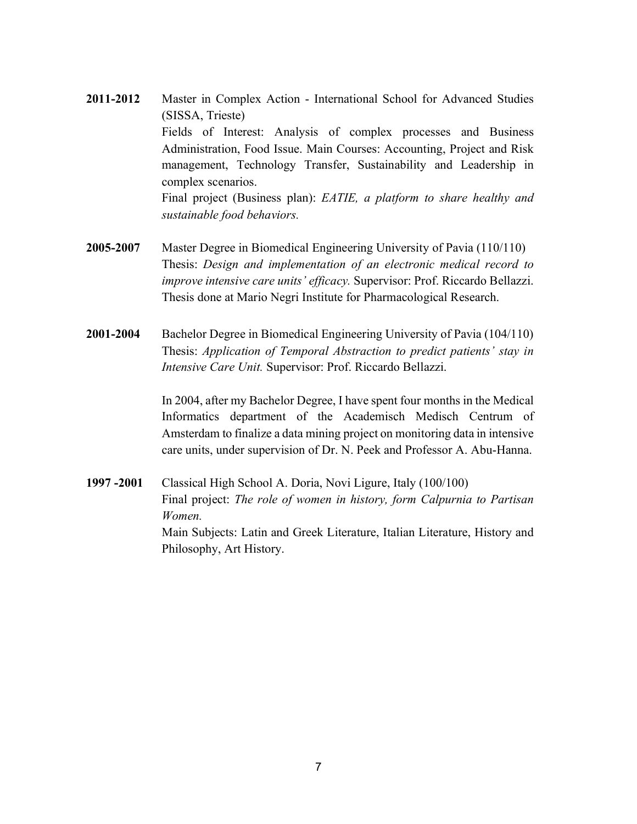- **2011-2012** Master in Complex Action International School for Advanced Studies (SISSA, Trieste) Fields of Interest: Analysis of complex processes and Business Administration, Food Issue. Main Courses: Accounting, Project and Risk management, Technology Transfer, Sustainability and Leadership in complex scenarios. Final project (Business plan): *EATIE, a platform to share healthy and sustainable food behaviors.*
- **2005-2007** Master Degree in Biomedical Engineering University of Pavia (110/110) Thesis: *Design and implementation of an electronic medical record to improve intensive care units' efficacy.* Supervisor: Prof. Riccardo Bellazzi. Thesis done at Mario Negri Institute for Pharmacological Research.
- **2001-2004** Bachelor Degree in Biomedical Engineering University of Pavia (104/110) Thesis: *Application of Temporal Abstraction to predict patients' stay in Intensive Care Unit.* Supervisor: Prof. Riccardo Bellazzi.

In 2004, after my Bachelor Degree, I have spent four months in the Medical Informatics department of the Academisch Medisch Centrum of Amsterdam to finalize a data mining project on monitoring data in intensive care units, under supervision of Dr. N. Peek and Professor A. Abu-Hanna.

**1997 -2001** Classical High School A. Doria, Novi Ligure, Italy (100/100) Final project: *The role of women in history, form Calpurnia to Partisan Women.* Main Subjects: Latin and Greek Literature, Italian Literature, History and Philosophy, Art History.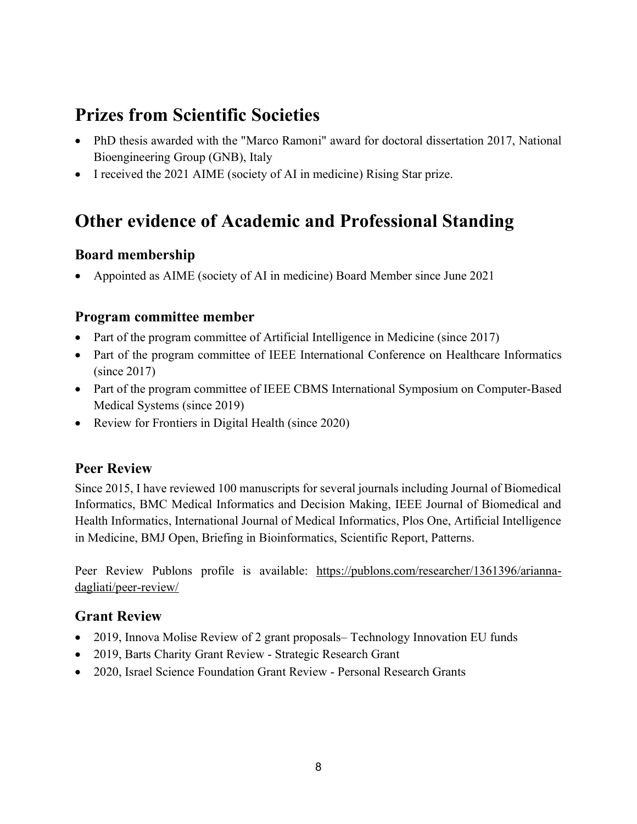## **Prizes from Scientific Societies**

- PhD thesis awarded with the "Marco Ramoni" award for doctoral dissertation 2017, National Bioengineering Group (GNB), Italy
- I received the 2021 AIME (society of AI in medicine) Rising Star prize.

## **Other evidence of Academic and Professional Standing**

#### **Board membership**

• Appointed as AIME (society of AI in medicine) Board Member since June 2021

#### **Program committee member**

- Part of the program committee of Artificial Intelligence in Medicine (since 2017)
- Part of the program committee of IEEE International Conference on Healthcare Informatics (since 2017)
- Part of the program committee of IEEE CBMS International Symposium on Computer-Based Medical Systems (since 2019)
- Review for Frontiers in Digital Health (since 2020)

#### **Peer Review**

Since 2015, I have reviewed 100 manuscripts for several journals including Journal of Biomedical Informatics, BMC Medical Informatics and Decision Making, IEEE Journal of Biomedical and Health Informatics, International Journal of Medical Informatics, Plos One, Artificial Intelligence in Medicine, BMJ Open, Briefing in Bioinformatics, Scientific Report, Patterns.

Peer Review Publons profile is available: https://publons.com/researcher/1361396/ariannadagliati/peer-review/

#### **Grant Review**

- 2019, Innova Molise Review of 2 grant proposals– Technology Innovation EU funds
- 2019, Barts Charity Grant Review Strategic Research Grant
- 2020, Israel Science Foundation Grant Review Personal Research Grants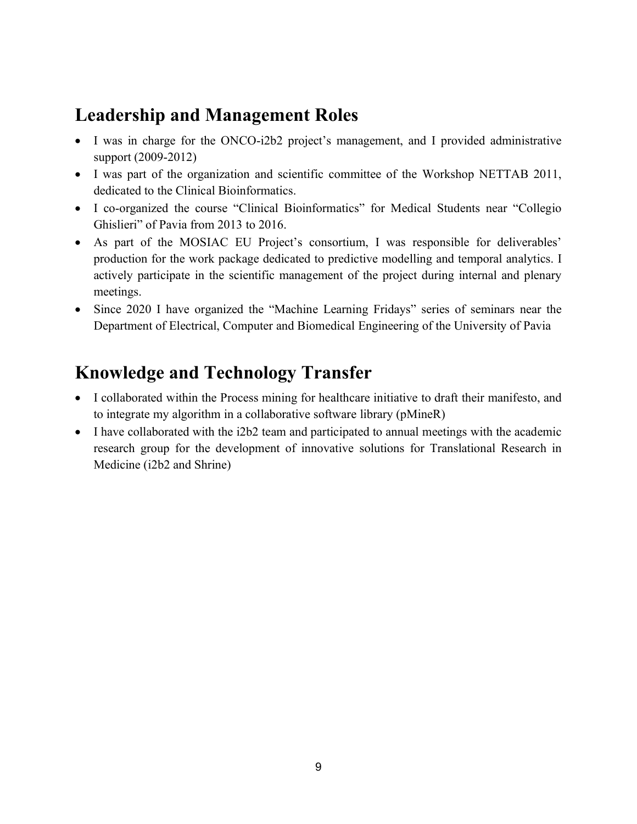### **Leadership and Management Roles**

- I was in charge for the ONCO-i2b2 project's management, and I provided administrative support (2009-2012)
- I was part of the organization and scientific committee of the Workshop NETTAB 2011, dedicated to the Clinical Bioinformatics.
- I co-organized the course "Clinical Bioinformatics" for Medical Students near "Collegio Ghislieri" of Pavia from 2013 to 2016.
- As part of the MOSIAC EU Project's consortium, I was responsible for deliverables' production for the work package dedicated to predictive modelling and temporal analytics. I actively participate in the scientific management of the project during internal and plenary meetings.
- Since 2020 I have organized the "Machine Learning Fridays" series of seminars near the Department of Electrical, Computer and Biomedical Engineering of the University of Pavia

## **Knowledge and Technology Transfer**

- I collaborated within the Process mining for healthcare initiative to draft their manifesto, and to integrate my algorithm in a collaborative software library (pMineR)
- I have collaborated with the i2b2 team and participated to annual meetings with the academic research group for the development of innovative solutions for Translational Research in Medicine (i2b2 and Shrine)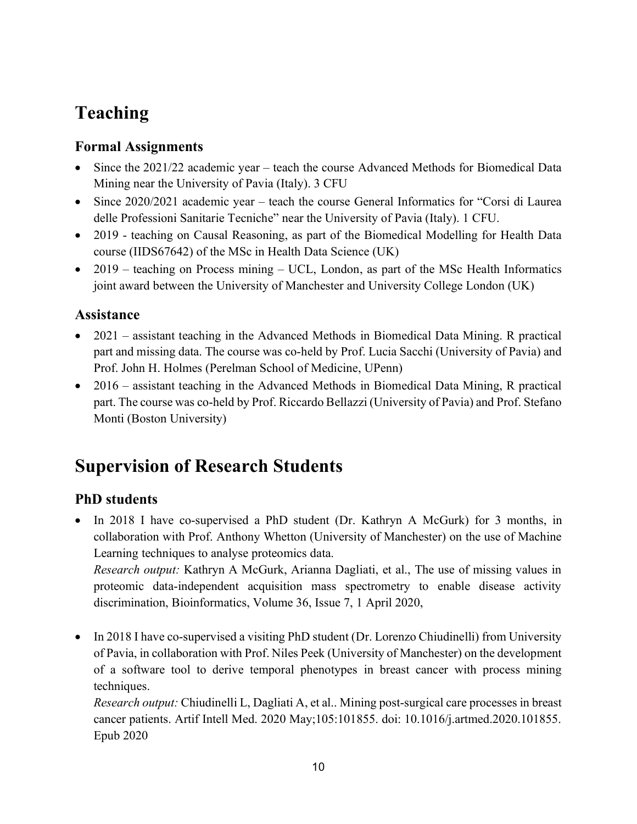# **Teaching**

#### **Formal Assignments**

- Since the 2021/22 academic year teach the course Advanced Methods for Biomedical Data Mining near the University of Pavia (Italy). 3 CFU
- Since 2020/2021 academic year teach the course General Informatics for "Corsi di Laurea" delle Professioni Sanitarie Tecniche" near the University of Pavia (Italy). 1 CFU.
- 2019 teaching on Causal Reasoning, as part of the Biomedical Modelling for Health Data course (IIDS67642) of the MSc in Health Data Science (UK)
- 2019 teaching on Process mining UCL, London, as part of the MSc Health Informatics joint award between the University of Manchester and University College London (UK)

#### **Assistance**

- 2021 assistant teaching in the Advanced Methods in Biomedical Data Mining. R practical part and missing data. The course was co-held by Prof. Lucia Sacchi (University of Pavia) and Prof. John H. Holmes (Perelman School of Medicine, UPenn)
- 2016 assistant teaching in the Advanced Methods in Biomedical Data Mining, R practical part. The course was co-held by Prof. Riccardo Bellazzi (University of Pavia) and Prof. Stefano Monti (Boston University)

# **Supervision of Research Students**

#### **PhD students**

• In 2018 I have co-supervised a PhD student (Dr. Kathryn A McGurk) for 3 months, in collaboration with Prof. Anthony Whetton (University of Manchester) on the use of Machine Learning techniques to analyse proteomics data. *Research output:* Kathryn A McGurk, Arianna Dagliati, et al., The use of missing values in

proteomic data-independent acquisition mass spectrometry to enable disease activity discrimination, Bioinformatics, Volume 36, Issue 7, 1 April 2020,

• In 2018 I have co-supervised a visiting PhD student (Dr. Lorenzo Chiudinelli) from University of Pavia, in collaboration with Prof. Niles Peek (University of Manchester) on the development of a software tool to derive temporal phenotypes in breast cancer with process mining techniques.

*Research output:* Chiudinelli L, Dagliati A, et al.. Mining post-surgical care processes in breast cancer patients. Artif Intell Med. 2020 May;105:101855. doi: 10.1016/j.artmed.2020.101855. Epub 2020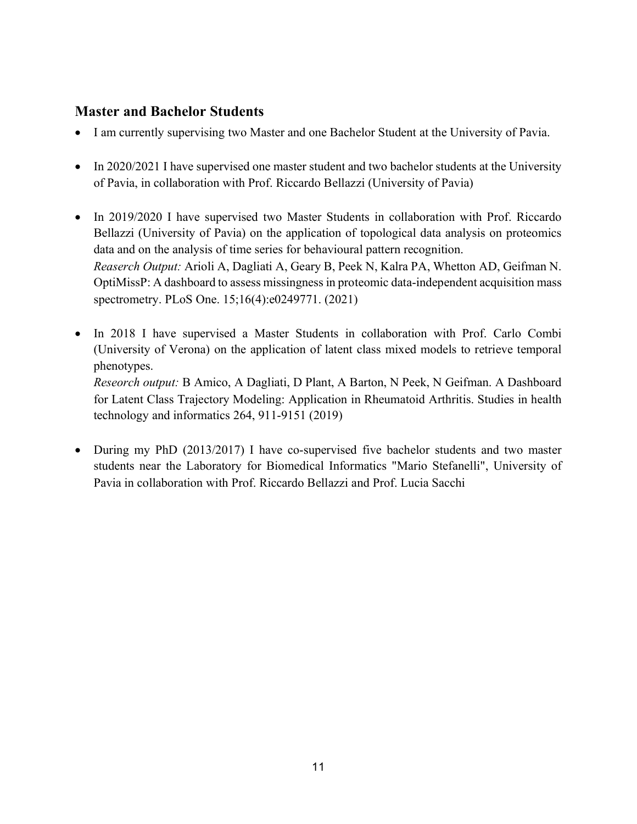#### **Master and Bachelor Students**

- I am currently supervising two Master and one Bachelor Student at the University of Pavia.
- In 2020/2021 I have supervised one master student and two bachelor students at the University of Pavia, in collaboration with Prof. Riccardo Bellazzi (University of Pavia)
- In 2019/2020 I have supervised two Master Students in collaboration with Prof. Riccardo Bellazzi (University of Pavia) on the application of topological data analysis on proteomics data and on the analysis of time series for behavioural pattern recognition. *Reaserch Output:* Arioli A, Dagliati A, Geary B, Peek N, Kalra PA, Whetton AD, Geifman N. OptiMissP: A dashboard to assess missingness in proteomic data-independent acquisition mass spectrometry. PLoS One. 15;16(4):e0249771. (2021)
- In 2018 I have supervised a Master Students in collaboration with Prof. Carlo Combi (University of Verona) on the application of latent class mixed models to retrieve temporal phenotypes. *Reseorch output:* B Amico, A Dagliati, D Plant, A Barton, N Peek, N Geifman. A Dashboard

for Latent Class Trajectory Modeling: Application in Rheumatoid Arthritis. Studies in health technology and informatics 264, 911-9151 (2019)

• During my PhD (2013/2017) I have co-supervised five bachelor students and two master students near the Laboratory for Biomedical Informatics "Mario Stefanelli", University of Pavia in collaboration with Prof. Riccardo Bellazzi and Prof. Lucia Sacchi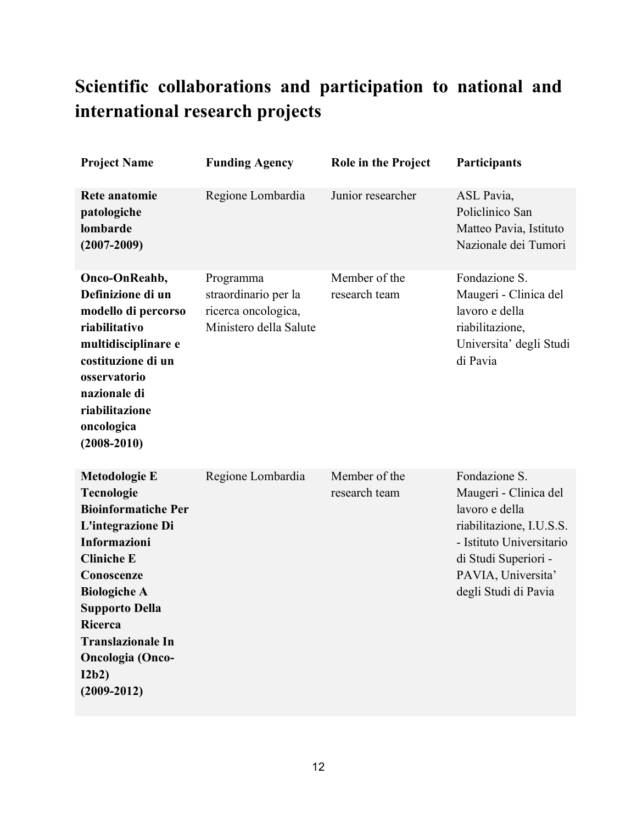# **Scientific collaborations and participation to national and international research projects**

| <b>Project Name</b>                                                                                                                                                                                                                                                                    | <b>Funding Agency</b>                                                              | <b>Role in the Project</b>     | Participants                                                                                                                                                                           |
|----------------------------------------------------------------------------------------------------------------------------------------------------------------------------------------------------------------------------------------------------------------------------------------|------------------------------------------------------------------------------------|--------------------------------|----------------------------------------------------------------------------------------------------------------------------------------------------------------------------------------|
| <b>Rete anatomie</b><br>patologiche<br>lombarde<br>$(2007 - 2009)$                                                                                                                                                                                                                     | Regione Lombardia                                                                  | Junior researcher              | ASL Pavia,<br>Policlinico San<br>Matteo Pavia, Istituto<br>Nazionale dei Tumori                                                                                                        |
| Onco-OnReahb,<br>Definizione di un<br>modello di percorso<br>riabilitativo<br>multidisciplinare e<br>costituzione di un<br>osservatorio<br>nazionale di<br>riabilitazione<br>oncologica<br>$(2008 - 2010)$                                                                             | Programma<br>straordinario per la<br>ricerca oncologica,<br>Ministero della Salute | Member of the<br>research team | Fondazione S.<br>Maugeri - Clinica del<br>lavoro e della<br>riabilitazione,<br>Universita' degli Studi<br>di Pavia                                                                     |
| <b>Metodologie E</b><br><b>Tecnologie</b><br><b>Bioinformatiche Per</b><br>L'integrazione Di<br>Informazioni<br><b>Cliniche E</b><br>Conoscenze<br><b>Biologiche A</b><br><b>Supporto Della</b><br>Ricerca<br><b>Translazionale In</b><br>Oncologia (Onco-<br>12b2)<br>$(2009 - 2012)$ | Regione Lombardia                                                                  | Member of the<br>research team | Fondazione S.<br>Maugeri - Clinica del<br>lavoro e della<br>riabilitazione, I.U.S.S.<br>- Istituto Universitario<br>di Studi Superiori -<br>PAVIA, Universita'<br>degli Studi di Pavia |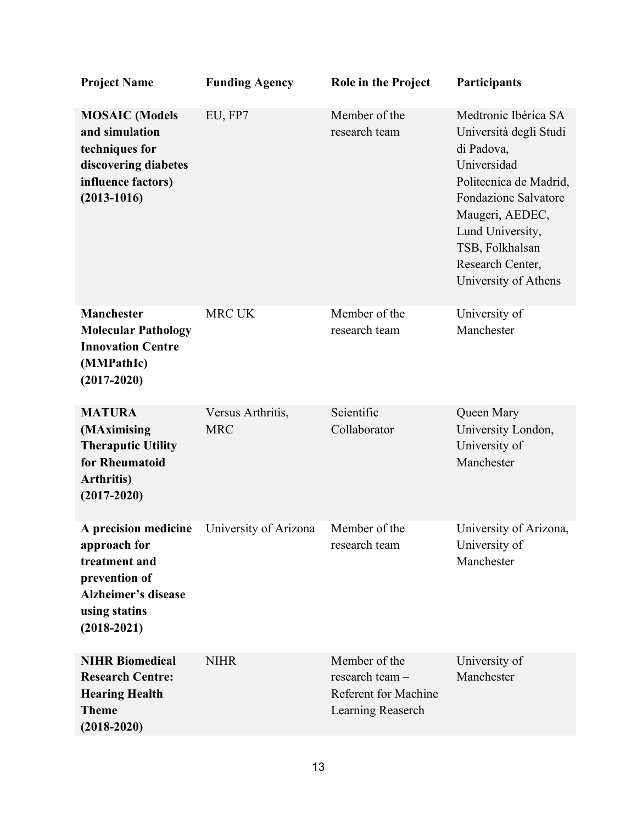| <b>Project Name</b>                                                                                                                      | <b>Funding Agency</b>           | Role in the Project                                                                  | Participants                                                                                                                                                                                                                               |
|------------------------------------------------------------------------------------------------------------------------------------------|---------------------------------|--------------------------------------------------------------------------------------|--------------------------------------------------------------------------------------------------------------------------------------------------------------------------------------------------------------------------------------------|
| <b>MOSAIC</b> (Models<br>and simulation<br>techniques for<br>discovering diabetes<br>influence factors)<br>$(2013 - 1016)$               | EU, FP7                         | Member of the<br>research team                                                       | Medtronic Ibérica SA<br>Università degli Studi<br>di Padova,<br>Universidad<br>Politecnica de Madrid,<br><b>Fondazione Salvatore</b><br>Maugeri, AEDEC,<br>Lund University,<br>TSB, Folkhalsan<br>Research Center,<br>University of Athens |
| <b>Manchester</b><br><b>Molecular Pathology</b><br><b>Innovation Centre</b><br>(MMPathIc)<br>$(2017 - 2020)$                             | <b>MRC UK</b>                   | Member of the<br>research team                                                       | University of<br>Manchester                                                                                                                                                                                                                |
| <b>MATURA</b><br>(MAximising<br><b>Theraputic Utility</b><br>for Rheumatoid<br><b>Arthritis</b> )<br>$(2017 - 2020)$                     | Versus Arthritis,<br><b>MRC</b> | Scientific<br>Collaborator                                                           | Queen Mary<br>University London,<br>University of<br>Manchester                                                                                                                                                                            |
| A precision medicine<br>approach for<br>treatment and<br>prevention of<br><b>Alzheimer's disease</b><br>using statins<br>$(2018 - 2021)$ | University of Arizona           | Member of the<br>research team                                                       | University of Arizona,<br>University of<br>Manchester                                                                                                                                                                                      |
| <b>NIHR Biomedical</b><br><b>Research Centre:</b><br><b>Hearing Health</b><br><b>Theme</b><br>$(2018 - 2020)$                            | <b>NIHR</b>                     | Member of the<br>research team -<br><b>Referent for Machine</b><br>Learning Reaserch | University of<br>Manchester                                                                                                                                                                                                                |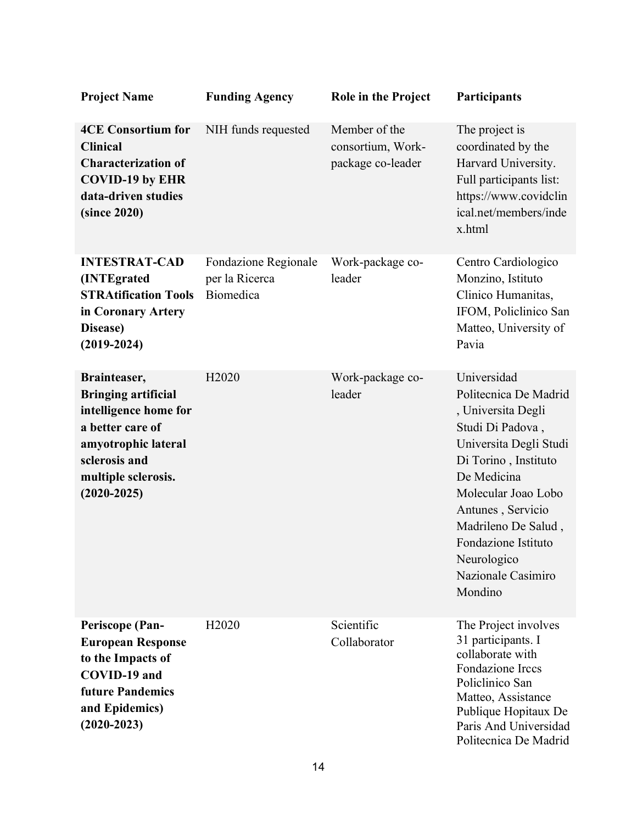| <b>Project Name</b>                                                                                                                                                     | <b>Funding Agency</b>                               | <b>Role in the Project</b>                              | Participants                                                                                                                                                                                                                                                                              |
|-------------------------------------------------------------------------------------------------------------------------------------------------------------------------|-----------------------------------------------------|---------------------------------------------------------|-------------------------------------------------------------------------------------------------------------------------------------------------------------------------------------------------------------------------------------------------------------------------------------------|
| <b>4CE Consortium for</b><br><b>Clinical</b><br><b>Characterization of</b><br><b>COVID-19 by EHR</b><br>data-driven studies<br>(since 2020)                             | NIH funds requested                                 | Member of the<br>consortium, Work-<br>package co-leader | The project is<br>coordinated by the<br>Harvard University.<br>Full participants list:<br>https://www.covidclin<br>ical.net/members/inde<br>x.html                                                                                                                                        |
| <b>INTESTRAT-CAD</b><br>(INTEgrated<br><b>STRAtification Tools</b><br>in Coronary Artery<br>Disease)<br>$(2019 - 2024)$                                                 | Fondazione Regionale<br>per la Ricerca<br>Biomedica | Work-package co-<br>leader                              | Centro Cardiologico<br>Monzino, Istituto<br>Clinico Humanitas,<br>IFOM, Policlinico San<br>Matteo, University of<br>Pavia                                                                                                                                                                 |
| Brainteaser,<br><b>Bringing artificial</b><br>intelligence home for<br>a better care of<br>amyotrophic lateral<br>sclerosis and<br>multiple sclerosis.<br>$(2020-2025)$ | H <sub>2020</sub>                                   | Work-package co-<br>leader                              | Universidad<br>Politecnica De Madrid<br>, Universita Degli<br>Studi Di Padova,<br>Universita Degli Studi<br>Di Torino, Instituto<br>De Medicina<br>Molecular Joao Lobo<br>Antunes, Servicio<br>Madrileno De Salud,<br>Fondazione Istituto<br>Neurologico<br>Nazionale Casimiro<br>Mondino |
| <b>Periscope (Pan-</b><br><b>European Response</b><br>to the Impacts of<br>COVID-19 and<br><b>future Pandemics</b><br>and Epidemics)<br>$(2020-2023)$                   | H <sub>2020</sub>                                   | Scientific<br>Collaborator                              | The Project involves<br>31 participants. I<br>collaborate with<br>Fondazione Irccs<br>Policlinico San<br>Matteo, Assistance<br>Publique Hopitaux De<br>Paris And Universidad<br>Politecnica De Madrid                                                                                     |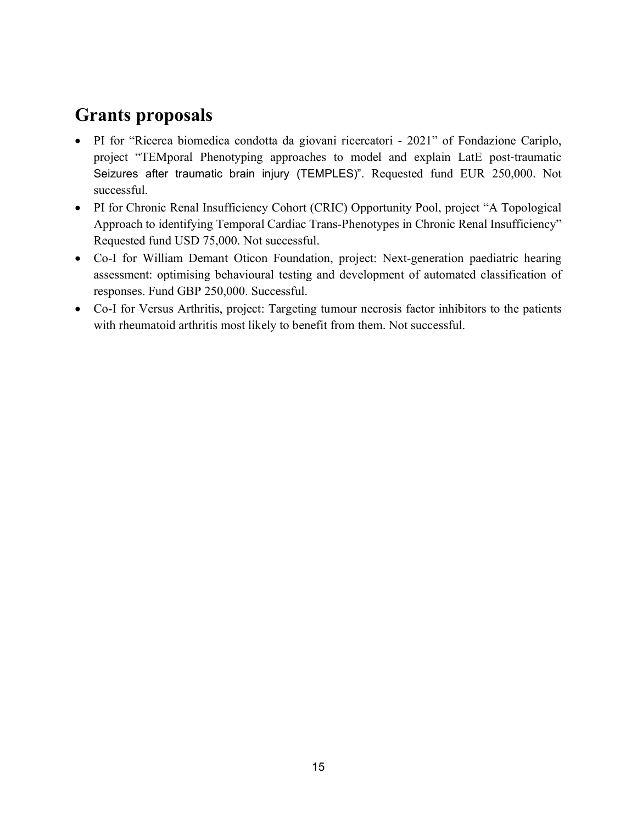## **Grants proposals**

- PI for "Ricerca biomedica condotta da giovani ricercatori 2021" of Fondazione Cariplo, project "TEMporal Phenotyping approaches to model and explain LatE post‐traumatic Seizures after traumatic brain injury (TEMPLES)". Requested fund EUR 250,000. Not successful.
- PI for Chronic Renal Insufficiency Cohort (CRIC) Opportunity Pool, project "A Topological Approach to identifying Temporal Cardiac Trans-Phenotypes in Chronic Renal Insufficiency" Requested fund USD 75,000. Not successful.
- Co-I for William Demant Oticon Foundation, project: Next-generation paediatric hearing assessment: optimising behavioural testing and development of automated classification of responses. Fund GBP 250,000. Successful.
- Co-I for Versus Arthritis, project: Targeting tumour necrosis factor inhibitors to the patients with rheumatoid arthritis most likely to benefit from them. Not successful.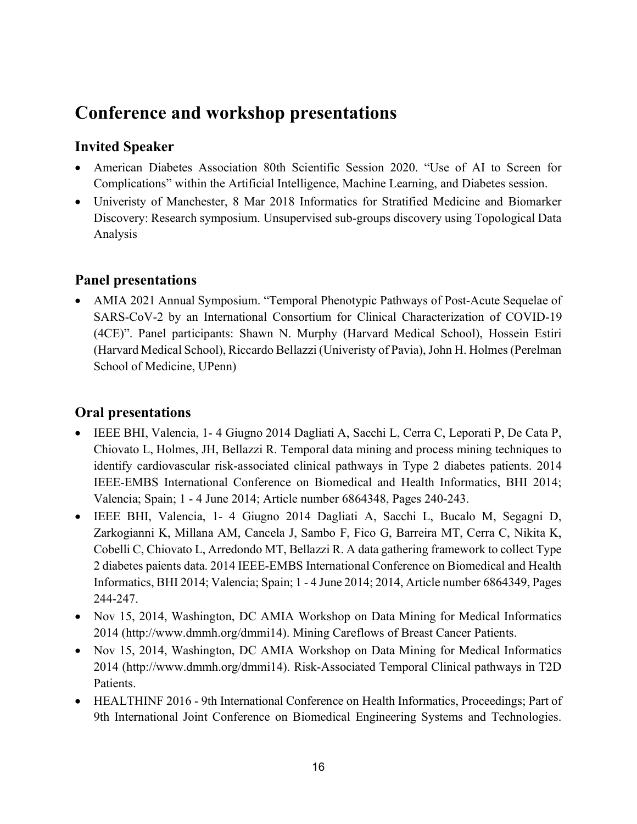### **Conference and workshop presentations**

#### **Invited Speaker**

- American Diabetes Association 80th Scientific Session 2020. "Use of AI to Screen for Complications" within the Artificial Intelligence, Machine Learning, and Diabetes session.
- Univeristy of Manchester, 8 Mar 2018 Informatics for Stratified Medicine and Biomarker Discovery: Research symposium. Unsupervised sub-groups discovery using Topological Data Analysis

#### **Panel presentations**

• AMIA 2021 Annual Symposium. "Temporal Phenotypic Pathways of Post-Acute Sequelae of SARS-CoV-2 by an International Consortium for Clinical Characterization of COVID-19 (4CE)". Panel participants: Shawn N. Murphy (Harvard Medical School), Hossein Estiri (Harvard Medical School), Riccardo Bellazzi (Univeristy of Pavia),John H. Holmes (Perelman School of Medicine, UPenn)

#### **Oral presentations**

- IEEE BHI, Valencia, 1- 4 Giugno 2014 Dagliati A, Sacchi L, Cerra C, Leporati P, De Cata P, Chiovato L, Holmes, JH, Bellazzi R. Temporal data mining and process mining techniques to identify cardiovascular risk-associated clinical pathways in Type 2 diabetes patients. 2014 IEEE-EMBS International Conference on Biomedical and Health Informatics, BHI 2014; Valencia; Spain; 1 - 4 June 2014; Article number 6864348, Pages 240-243.
- IEEE BHI, Valencia, 1- 4 Giugno 2014 Dagliati A, Sacchi L, Bucalo M, Segagni D, Zarkogianni K, Millana AM, Cancela J, Sambo F, Fico G, Barreira MT, Cerra C, Nikita K, Cobelli C, Chiovato L, Arredondo MT, Bellazzi R. A data gathering framework to collect Type 2 diabetes paients data. 2014 IEEE-EMBS International Conference on Biomedical and Health Informatics, BHI 2014; Valencia; Spain; 1 - 4 June 2014; 2014, Article number 6864349, Pages 244-247.
- Nov 15, 2014, Washington, DC AMIA Workshop on Data Mining for Medical Informatics 2014 (http://www.dmmh.org/dmmi14). Mining Careflows of Breast Cancer Patients.
- Nov 15, 2014, Washington, DC AMIA Workshop on Data Mining for Medical Informatics 2014 (http://www.dmmh.org/dmmi14). Risk-Associated Temporal Clinical pathways in T2D Patients.
- HEALTHINF 2016 9th International Conference on Health Informatics, Proceedings; Part of 9th International Joint Conference on Biomedical Engineering Systems and Technologies.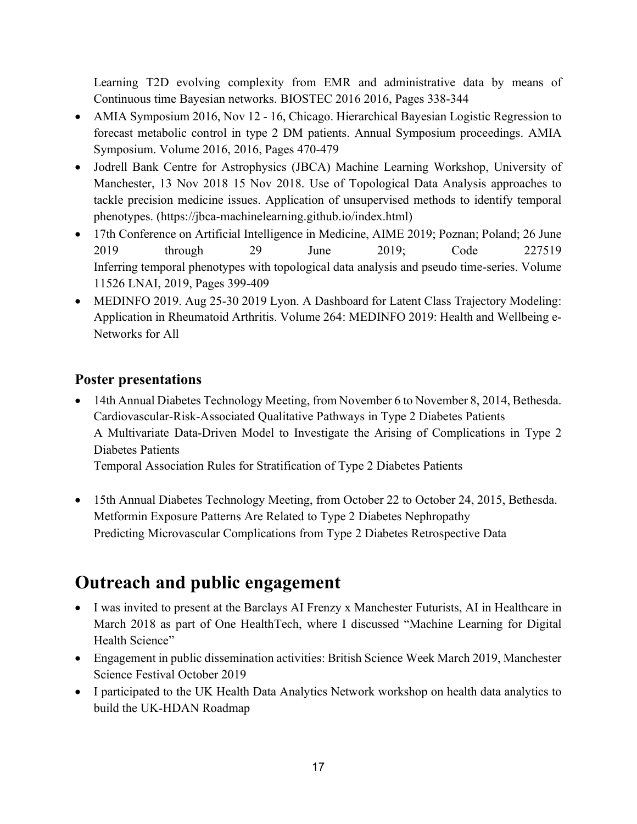Learning T2D evolving complexity from EMR and administrative data by means of Continuous time Bayesian networks. BIOSTEC 2016 2016, Pages 338-344

- AMIA Symposium 2016, Nov 12 16, Chicago. Hierarchical Bayesian Logistic Regression to forecast metabolic control in type 2 DM patients. Annual Symposium proceedings. AMIA Symposium. Volume 2016, 2016, Pages 470-479
- Jodrell Bank Centre for Astrophysics (JBCA) Machine Learning Workshop, University of Manchester, 13 Nov 2018 15 Nov 2018. Use of Topological Data Analysis approaches to tackle precision medicine issues. Application of unsupervised methods to identify temporal phenotypes. [\(https://jbca-machinelearning.github.io/index.html\)](https://jbca-machinelearning.github.io/index.html)
- 17th Conference on Artificial Intelligence in Medicine, AIME 2019; Poznan; Poland; 26 June 2019 through 29 June 2019; Code 227519 Inferring temporal phenotypes with topological data analysis and pseudo time-series. Volume 11526 LNAI, 2019, Pages 399-409
- MEDINFO 2019. Aug 25-30 2019 Lyon. A Dashboard for Latent Class Trajectory Modeling: Application in Rheumatoid Arthritis. Volume 264: MEDINFO 2019: Health and Wellbeing e-Networks for All

#### **Poster presentations**

• 14th Annual Diabetes Technology Meeting, from November 6 to November 8, 2014, Bethesda. Cardiovascular-Risk-Associated Qualitative Pathways in Type 2 Diabetes Patients A Multivariate Data-Driven Model to Investigate the Arising of Complications in Type 2 Diabetes Patients Temporal Association Rules for Stratification of Type 2 Diabetes Patients

• 15th Annual Diabetes Technology Meeting, from October 22 to October 24, 2015, Bethesda.

Metformin Exposure Patterns Are Related to Type 2 Diabetes Nephropathy

Predicting Microvascular Complications from Type 2 Diabetes Retrospective Data

# **Outreach and public engagement**

- I was invited to present at the Barclays AI Frenzy x Manchester Futurists, AI in Healthcare in March 2018 as part of One HealthTech, where I discussed "Machine Learning for Digital Health Science"
- Engagement in public dissemination activities: British Science Week March 2019, Manchester Science Festival October 2019
- I participated to the UK Health Data Analytics Network workshop on health data analytics to build the UK-HDAN Roadmap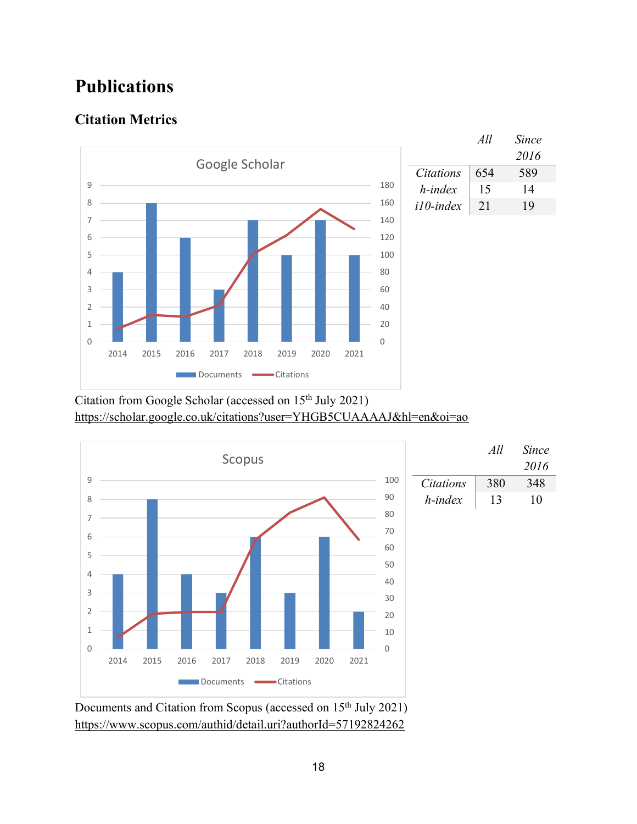## **Publications**

#### **Citation Metrics**



Citation from Google Scholar (accessed on 15<sup>th</sup> July 2021) <https://scholar.google.co.uk/citations?user=YHGB5CUAAAAJ&hl=en&oi=ao>



Documents and Citation from Scopus (accessed on 15<sup>th</sup> July 2021) <https://www.scopus.com/authid/detail.uri?authorId=57192824262>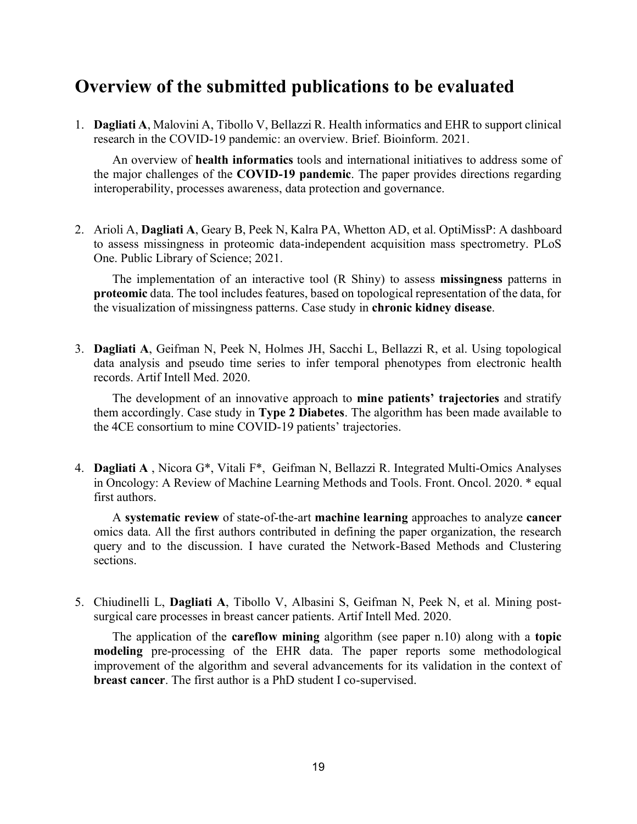### **Overview of the submitted publications to be evaluated**

1. **Dagliati A**, Malovini A, Tibollo V, Bellazzi R. Health informatics and EHR to support clinical research in the COVID-19 pandemic: an overview. Brief. Bioinform. 2021.

An overview of **health informatics** tools and international initiatives to address some of the major challenges of the **COVID-19 pandemic**. The paper provides directions regarding interoperability, processes awareness, data protection and governance.

2. Arioli A, **Dagliati A**, Geary B, Peek N, Kalra PA, Whetton AD, et al. OptiMissP: A dashboard to assess missingness in proteomic data-independent acquisition mass spectrometry. PLoS One. Public Library of Science; 2021.

The implementation of an interactive tool (R Shiny) to assess **missingness** patterns in **proteomic** data. The tool includes features, based on topological representation of the data, for the visualization of missingness patterns. Case study in **chronic kidney disease**.

3. **Dagliati A**, Geifman N, Peek N, Holmes JH, Sacchi L, Bellazzi R, et al. Using topological data analysis and pseudo time series to infer temporal phenotypes from electronic health records. Artif Intell Med. 2020.

The development of an innovative approach to **mine patients' trajectories** and stratify them accordingly. Case study in **Type 2 Diabetes**. The algorithm has been made available to the 4CE consortium to mine COVID-19 patients' trajectories.

4. **Dagliati A** , Nicora G\*, Vitali F\*, Geifman N, Bellazzi R. Integrated Multi-Omics Analyses in Oncology: A Review of Machine Learning Methods and Tools. Front. Oncol. 2020. \* equal first authors.

A **systematic review** of state-of-the-art **machine learning** approaches to analyze **cancer** omics data. All the first authors contributed in defining the paper organization, the research query and to the discussion. I have curated the Network-Based Methods and Clustering sections.

5. Chiudinelli L, **Dagliati A**, Tibollo V, Albasini S, Geifman N, Peek N, et al. Mining postsurgical care processes in breast cancer patients. Artif Intell Med. 2020.

The application of the **careflow mining** algorithm (see paper n.10) along with a **topic modeling** pre-processing of the EHR data. The paper reports some methodological improvement of the algorithm and several advancements for its validation in the context of **breast cancer**. The first author is a PhD student I co-supervised.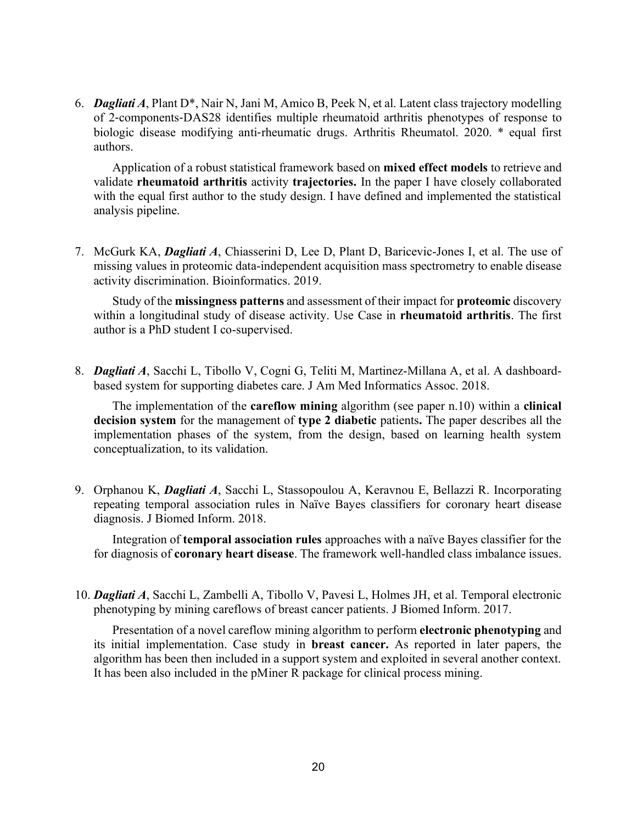6. *Dagliati A*, Plant D\*, Nair N, Jani M, Amico B, Peek N, et al. Latent class trajectory modelling of 2‐components‐DAS28 identifies multiple rheumatoid arthritis phenotypes of response to biologic disease modifying anti-rheumatic drugs. Arthritis Rheumatol. 2020. \* equal first authors.

Application of a robust statistical framework based on **mixed effect models** to retrieve and validate **rheumatoid arthritis** activity **trajectories.** In the paper I have closely collaborated with the equal first author to the study design. I have defined and implemented the statistical analysis pipeline.

7. McGurk KA, *Dagliati A*, Chiasserini D, Lee D, Plant D, Baricevic-Jones I, et al. The use of missing values in proteomic data-independent acquisition mass spectrometry to enable disease activity discrimination. Bioinformatics. 2019.

Study of the **missingness patterns** and assessment of their impact for **proteomic** discovery within a longitudinal study of disease activity. Use Case in **rheumatoid arthritis**. The first author is a PhD student I co-supervised.

8. *Dagliati A*, Sacchi L, Tibollo V, Cogni G, Teliti M, Martinez-Millana A, et al. A dashboardbased system for supporting diabetes care. J Am Med Informatics Assoc. 2018.

The implementation of the **careflow mining** algorithm (see paper n.10) within a **clinical decision system** for the management of **type 2 diabetic** patients**.** The paper describes all the implementation phases of the system, from the design, based on learning health system conceptualization, to its validation.

9. Orphanou K, *Dagliati A*, Sacchi L, Stassopoulou A, Keravnou E, Bellazzi R. Incorporating repeating temporal association rules in Naïve Bayes classifiers for coronary heart disease diagnosis. J Biomed Inform. 2018.

Integration of **temporal association rules** approaches with a naïve Bayes classifier for the for diagnosis of **coronary heart disease**. The framework well-handled class imbalance issues.

10. *Dagliati A*, Sacchi L, Zambelli A, Tibollo V, Pavesi L, Holmes JH, et al. Temporal electronic phenotyping by mining careflows of breast cancer patients. J Biomed Inform. 2017.

Presentation of a novel careflow mining algorithm to perform **electronic phenotyping** and its initial implementation. Case study in **breast cancer.** As reported in later papers, the algorithm has been then included in a support system and exploited in several another context. It has been also included in the pMiner R package for clinical process mining.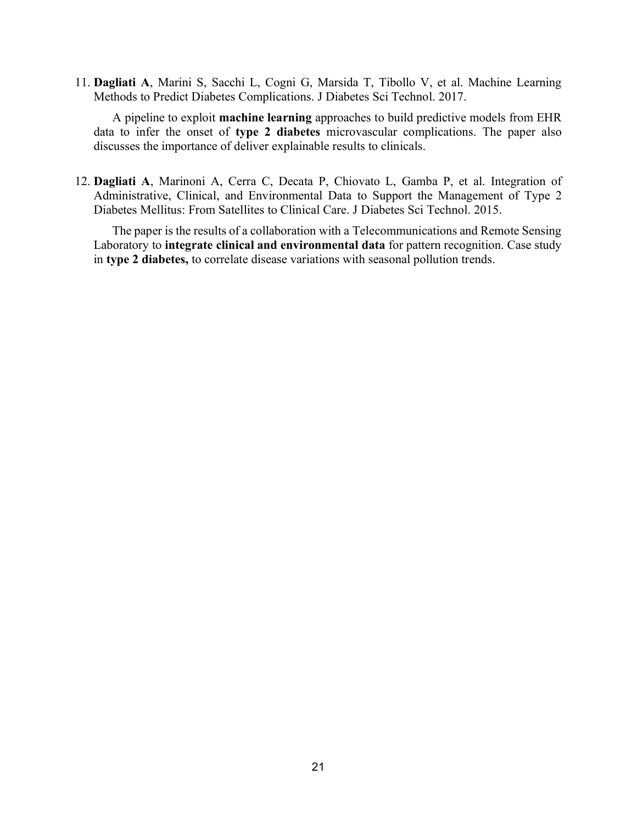11. **Dagliati A**, Marini S, Sacchi L, Cogni G, Marsida T, Tibollo V, et al. Machine Learning Methods to Predict Diabetes Complications. J Diabetes Sci Technol. 2017.

A pipeline to exploit **machine learning** approaches to build predictive models from EHR data to infer the onset of **type 2 diabetes** microvascular complications. The paper also discusses the importance of deliver explainable results to clinicals.

12. **Dagliati A**, Marinoni A, Cerra C, Decata P, Chiovato L, Gamba P, et al. Integration of Administrative, Clinical, and Environmental Data to Support the Management of Type 2 Diabetes Mellitus: From Satellites to Clinical Care. J Diabetes Sci Technol. 2015.

The paper is the results of a collaboration with a Telecommunications and Remote Sensing Laboratory to **integrate clinical and environmental data** for pattern recognition. Case study in **type 2 diabetes,** to correlate disease variations with seasonal pollution trends.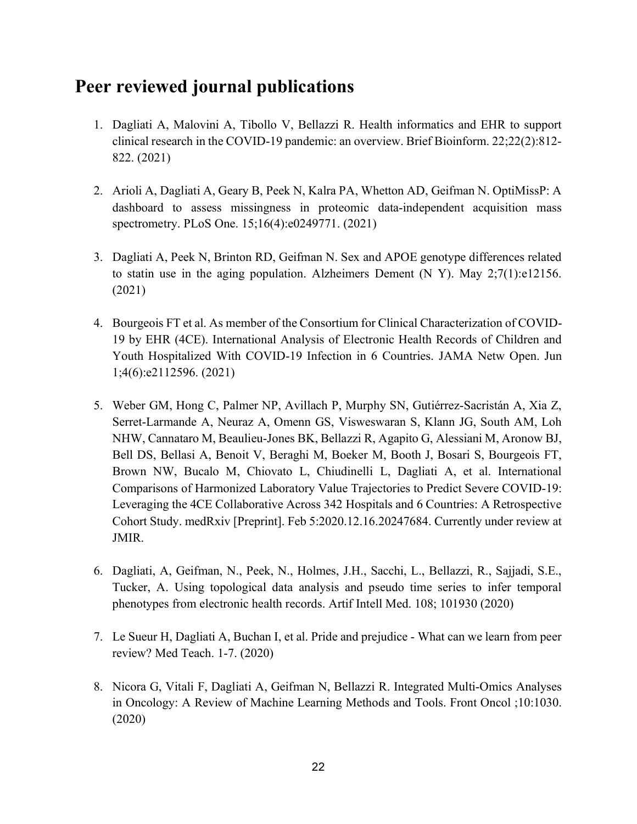### **Peer reviewed journal publications**

- 1. Dagliati A, Malovini A, Tibollo V, Bellazzi R. Health informatics and EHR to support clinical research in the COVID-19 pandemic: an overview. Brief Bioinform. 22;22(2):812- 822. (2021)
- 2. Arioli A, Dagliati A, Geary B, Peek N, Kalra PA, Whetton AD, Geifman N. OptiMissP: A dashboard to assess missingness in proteomic data-independent acquisition mass spectrometry. PLoS One. 15;16(4):e0249771. (2021)
- 3. Dagliati A, Peek N, Brinton RD, Geifman N. Sex and APOE genotype differences related to statin use in the aging population. Alzheimers Dement (N Y). May 2;7(1):e12156. (2021)
- 4. Bourgeois FT et al. As member of the Consortium for Clinical Characterization of COVID-19 by EHR (4CE). International Analysis of Electronic Health Records of Children and Youth Hospitalized With COVID-19 Infection in 6 Countries. JAMA Netw Open. Jun 1;4(6):e2112596. (2021)
- 5. Weber GM, Hong C, Palmer NP, Avillach P, Murphy SN, Gutiérrez-Sacristán A, Xia Z, Serret-Larmande A, Neuraz A, Omenn GS, Visweswaran S, Klann JG, South AM, Loh NHW, Cannataro M, Beaulieu-Jones BK, Bellazzi R, Agapito G, Alessiani M, Aronow BJ, Bell DS, Bellasi A, Benoit V, Beraghi M, Boeker M, Booth J, Bosari S, Bourgeois FT, Brown NW, Bucalo M, Chiovato L, Chiudinelli L, Dagliati A, et al. International Comparisons of Harmonized Laboratory Value Trajectories to Predict Severe COVID-19: Leveraging the 4CE Collaborative Across 342 Hospitals and 6 Countries: A Retrospective Cohort Study. medRxiv [Preprint]. Feb 5:2020.12.16.20247684. Currently under review at JMIR.
- 6. Dagliati, A, Geifman, N., Peek, N., Holmes, J.H., Sacchi, L., Bellazzi, R., Sajjadi, S.E., Tucker, A. Using topological data analysis and pseudo time series to infer temporal phenotypes from electronic health records. Artif Intell Med. 108; 101930 (2020)
- 7. Le Sueur H, Dagliati A, Buchan I, et al. Pride and prejudice What can we learn from peer review? Med Teach. 1-7. (2020)
- 8. Nicora G, Vitali F, Dagliati A, Geifman N, Bellazzi R. Integrated Multi-Omics Analyses in Oncology: A Review of Machine Learning Methods and Tools. Front Oncol ;10:1030. (2020)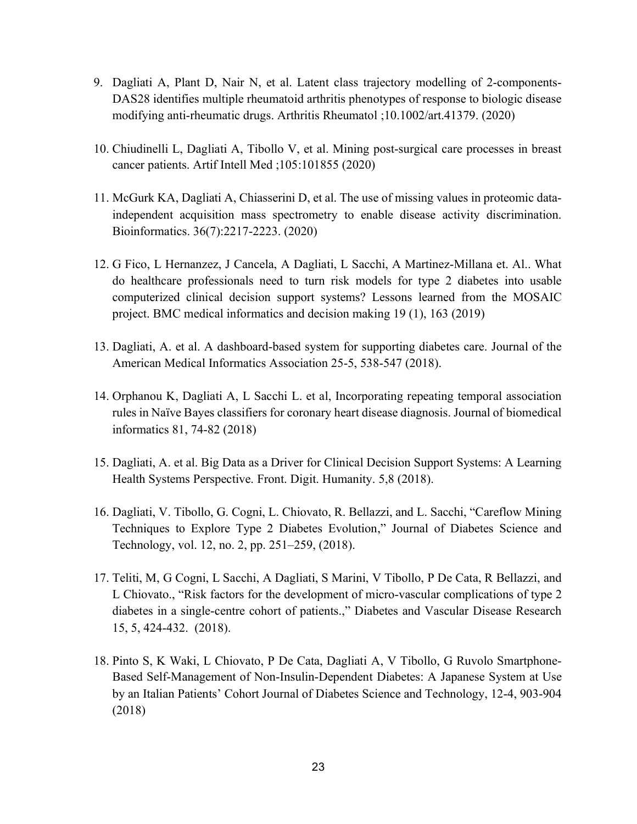- 9. Dagliati A, Plant D, Nair N, et al. Latent class trajectory modelling of 2-components-DAS28 identifies multiple rheumatoid arthritis phenotypes of response to biologic disease modifying anti-rheumatic drugs. Arthritis Rheumatol ;10.1002/art.41379. (2020)
- 10. Chiudinelli L, Dagliati A, Tibollo V, et al. Mining post-surgical care processes in breast cancer patients. Artif Intell Med ;105:101855 (2020)
- 11. McGurk KA, Dagliati A, Chiasserini D, et al. The use of missing values in proteomic dataindependent acquisition mass spectrometry to enable disease activity discrimination. Bioinformatics. 36(7):2217-2223. (2020)
- 12. G Fico, L Hernanzez, J Cancela, A Dagliati, L Sacchi, A Martinez-Millana et. Al.. What do healthcare professionals need to turn risk models for type 2 diabetes into usable computerized clinical decision support systems? Lessons learned from the MOSAIC project. BMC medical informatics and decision making 19 (1), 163 (2019)
- 13. Dagliati, A. et al. A dashboard-based system for supporting diabetes care. Journal of the American Medical Informatics Association 25-5, 538-547 (2018).
- 14. Orphanou K, Dagliati A, L Sacchi L. et al, Incorporating repeating temporal association rules in Naïve Bayes classifiers for coronary heart disease diagnosis. Journal of biomedical informatics 81, 74-82 (2018)
- 15. Dagliati, A. et al. Big Data as a Driver for Clinical Decision Support Systems: A Learning Health Systems Perspective. Front. Digit. Humanity. 5,8 (2018).
- 16. Dagliati, V. Tibollo, G. Cogni, L. Chiovato, R. Bellazzi, and L. Sacchi, "Careflow Mining Techniques to Explore Type 2 Diabetes Evolution," Journal of Diabetes Science and Technology, vol. 12, no. 2, pp. 251–259, (2018).
- 17. Teliti, M, G Cogni, L Sacchi, A Dagliati, S Marini, V Tibollo, P De Cata, R Bellazzi, and L Chiovato., "Risk factors for the development of micro-vascular complications of type 2 diabetes in a single-centre cohort of patients.," Diabetes and Vascular Disease Research 15, 5, 424-432. (2018).
- 18. Pinto S, K Waki, L Chiovato, P De Cata, Dagliati A, V Tibollo, G Ruvolo Smartphone-Based Self-Management of Non-Insulin-Dependent Diabetes: A Japanese System at Use by an Italian Patients' Cohort Journal of Diabetes Science and Technology, 12-4, 903-904 (2018)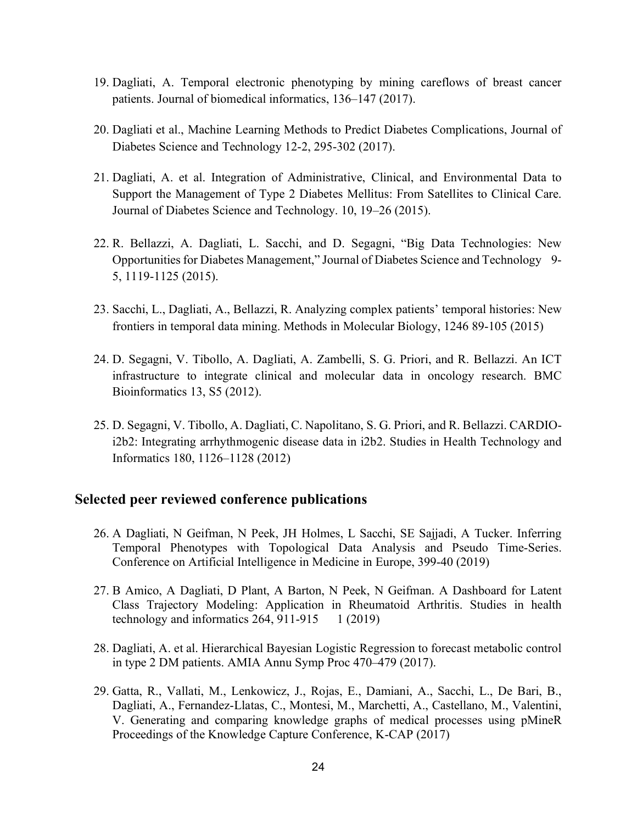- 19. Dagliati, A. Temporal electronic phenotyping by mining careflows of breast cancer patients. Journal of biomedical informatics, 136–147 (2017).
- 20. Dagliati et al., Machine Learning Methods to Predict Diabetes Complications, Journal of Diabetes Science and Technology 12-2, 295-302 (2017).
- 21. Dagliati, A. et al. Integration of Administrative, Clinical, and Environmental Data to Support the Management of Type 2 Diabetes Mellitus: From Satellites to Clinical Care. Journal of Diabetes Science and Technology. 10, 19–26 (2015).
- 22. R. Bellazzi, A. Dagliati, L. Sacchi, and D. Segagni, "Big Data Technologies: New Opportunities for Diabetes Management," Journal of Diabetes Science and Technology 9- 5, 1119-1125 (2015).
- 23. Sacchi, L., Dagliati, A., Bellazzi, R. Analyzing complex patients' temporal histories: New frontiers in temporal data mining. Methods in Molecular Biology, 1246 89-105 (2015)
- 24. D. Segagni, V. Tibollo, A. Dagliati, A. Zambelli, S. G. Priori, and R. Bellazzi. An ICT infrastructure to integrate clinical and molecular data in oncology research. BMC Bioinformatics 13, S5 (2012).
- 25. D. Segagni, V. Tibollo, A. Dagliati, C. Napolitano, S. G. Priori, and R. Bellazzi. CARDIOi2b2: Integrating arrhythmogenic disease data in i2b2. Studies in Health Technology and Informatics 180, 1126–1128 (2012)

#### **Selected peer reviewed conference publications**

- 26. A Dagliati, N Geifman, N Peek, JH Holmes, L Sacchi, SE Sajjadi, A Tucker. Inferring Temporal Phenotypes with Topological Data Analysis and Pseudo Time-Series. Conference on Artificial Intelligence in Medicine in Europe, 399-40 (2019)
- 27. B Amico, A Dagliati, D Plant, A Barton, N Peek, N Geifman. A Dashboard for Latent Class Trajectory Modeling: Application in Rheumatoid Arthritis. Studies in health technology and informatics  $264, 911-915 \quad 1 \ (2019)$
- 28. Dagliati, A. et al. Hierarchical Bayesian Logistic Regression to forecast metabolic control in type 2 DM patients. AMIA Annu Symp Proc 470–479 (2017).
- 29. Gatta, R., Vallati, M., Lenkowicz, J., Rojas, E., Damiani, A., Sacchi, L., De Bari, B., Dagliati, A., Fernandez-Llatas, C., Montesi, M., Marchetti, A., Castellano, M., Valentini, V. Generating and comparing knowledge graphs of medical processes using pMineR Proceedings of the Knowledge Capture Conference, K-CAP (2017)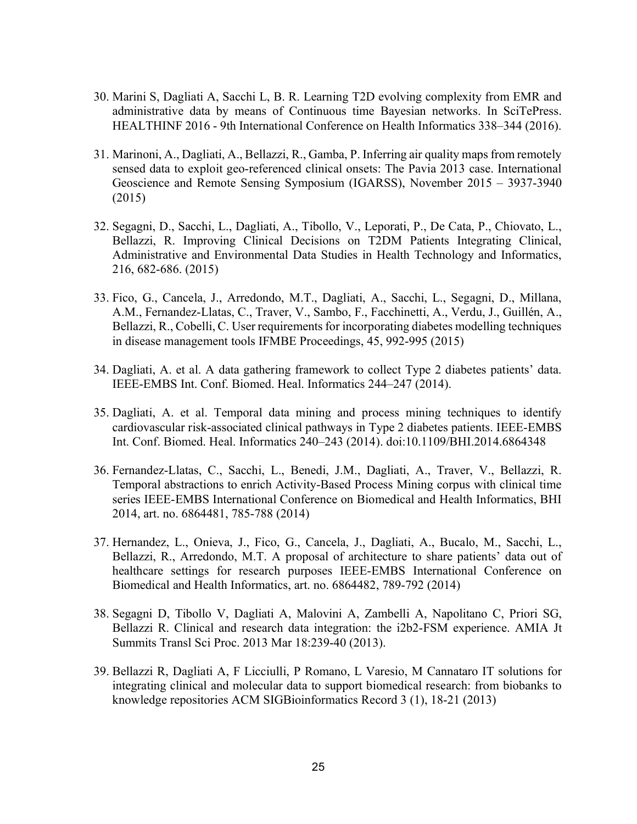- 30. Marini S, Dagliati A, Sacchi L, B. R. Learning T2D evolving complexity from EMR and administrative data by means of Continuous time Bayesian networks. In SciTePress. HEALTHINF 2016 - 9th International Conference on Health Informatics 338–344 (2016).
- 31. Marinoni, A., Dagliati, A., Bellazzi, R., Gamba, P. Inferring air quality maps from remotely sensed data to exploit geo-referenced clinical onsets: The Pavia 2013 case. International Geoscience and Remote Sensing Symposium (IGARSS), November 2015 – 3937-3940 (2015)
- 32. Segagni, D., Sacchi, L., Dagliati, A., Tibollo, V., Leporati, P., De Cata, P., Chiovato, L., Bellazzi, R. Improving Clinical Decisions on T2DM Patients Integrating Clinical, Administrative and Environmental Data Studies in Health Technology and Informatics, 216, 682-686. (2015)
- 33. Fico, G., Cancela, J., Arredondo, M.T., Dagliati, A., Sacchi, L., Segagni, D., Millana, A.M., Fernandez-Llatas, C., Traver, V., Sambo, F., Facchinetti, A., Verdu, J., Guillén, A., Bellazzi, R., Cobelli, C. User requirements for incorporating diabetes modelling techniques in disease management tools IFMBE Proceedings, 45, 992-995 (2015)
- 34. Dagliati, A. et al. A data gathering framework to collect Type 2 diabetes patients' data. IEEE-EMBS Int. Conf. Biomed. Heal. Informatics 244–247 (2014).
- 35. Dagliati, A. et al. Temporal data mining and process mining techniques to identify cardiovascular risk-associated clinical pathways in Type 2 diabetes patients. IEEE-EMBS Int. Conf. Biomed. Heal. Informatics 240–243 (2014). doi:10.1109/BHI.2014.6864348
- 36. Fernandez-Llatas, C., Sacchi, L., Benedi, J.M., Dagliati, A., Traver, V., Bellazzi, R. Temporal abstractions to enrich Activity-Based Process Mining corpus with clinical time series IEEE-EMBS International Conference on Biomedical and Health Informatics, BHI 2014, art. no. 6864481, 785-788 (2014)
- 37. Hernandez, L., Onieva, J., Fico, G., Cancela, J., Dagliati, A., Bucalo, M., Sacchi, L., Bellazzi, R., Arredondo, M.T. A proposal of architecture to share patients' data out of healthcare settings for research purposes IEEE-EMBS International Conference on Biomedical and Health Informatics, art. no. 6864482, 789-792 (2014)
- 38. Segagni D, Tibollo V, Dagliati A, Malovini A, Zambelli A, Napolitano C, Priori SG, Bellazzi R. Clinical and research data integration: the i2b2-FSM experience. AMIA Jt Summits Transl Sci Proc. 2013 Mar 18:239-40 (2013).
- 39. Bellazzi R, Dagliati A, F Licciulli, P Romano, L Varesio, M Cannataro IT solutions for integrating clinical and molecular data to support biomedical research: from biobanks to knowledge repositories ACM SIGBioinformatics Record 3 (1), 18-21 (2013)